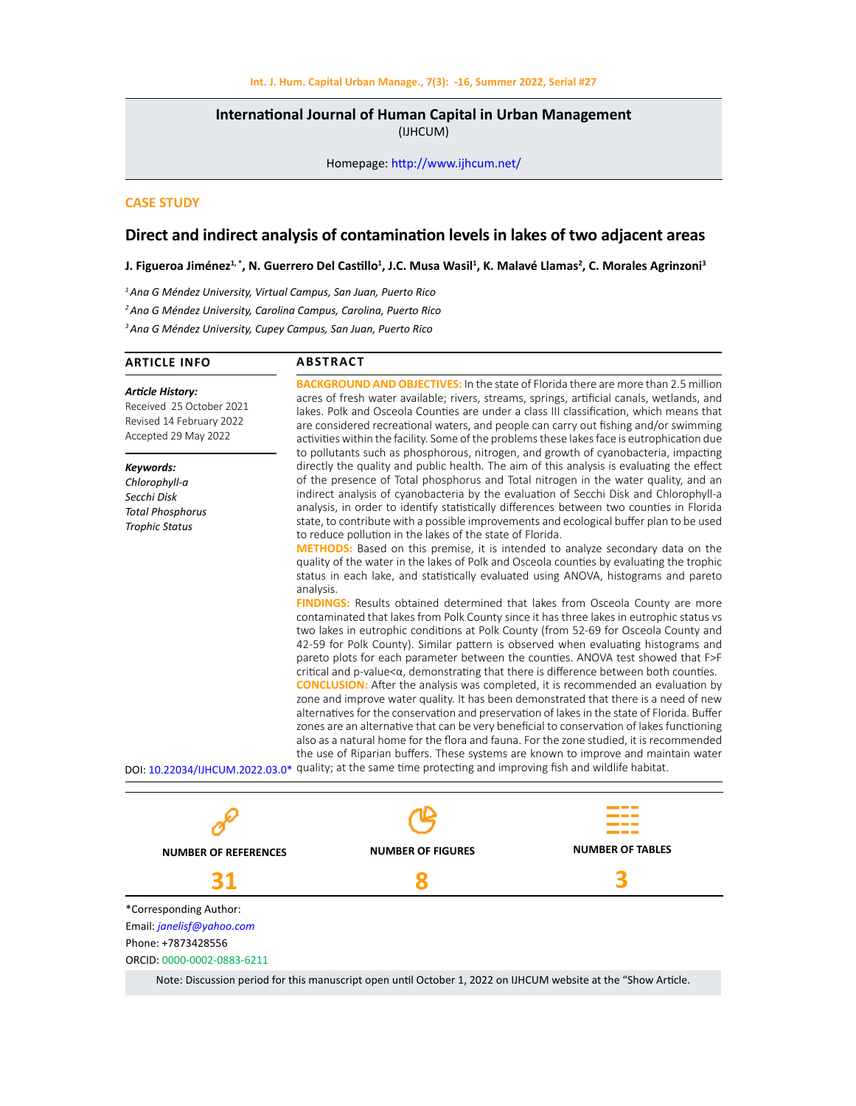**International Journal of Human Capital in Urban Management**  (IJHCUM)

Homepage: http://www.ijhcum.net/

# **CASE STUDY**

# **Direct and indirect analysis of contamination levels in lakes of two adjacent areas**

**J. Figueroa Jiménez1, \*, N. Guerrero Del Castillo<sup>1</sup> , J.C. Musa Wasil1 , K. Malavé Llamas<sup>2</sup> , C. Morales Agrinzoni<sup>3</sup>**

*1 Ana G Méndez University, Virtual Campus, San Juan, Puerto Rico 2 Ana G Méndez University, Carolina Campus, Carolina, Puerto Rico 3 Ana G Méndez University, Cupey Campus, San Juan, Puerto Rico*

## **ARTICLE INFO**

# **ABSTRACT**

| Article History:<br>Received 25 October 2021<br>Revised 14 February 2022<br>Accepted 29 May 2022 | <b>BACKGROUND AND OBJECTIVES:</b> In the state of Florida there are more than 2.5 million<br>acres of fresh water available; rivers, streams, springs, artificial canals, wetlands, and<br>lakes. Polk and Osceola Counties are under a class III classification, which means that<br>are considered recreational waters, and people can carry out fishing and/or swimming<br>activities within the facility. Some of the problems these lakes face is eutrophication due<br>to pollutants such as phosphorous, nitrogen, and growth of cyanobacteria, impacting |
|--------------------------------------------------------------------------------------------------|------------------------------------------------------------------------------------------------------------------------------------------------------------------------------------------------------------------------------------------------------------------------------------------------------------------------------------------------------------------------------------------------------------------------------------------------------------------------------------------------------------------------------------------------------------------|
| Keywords:<br>Chlorophyll-a<br>Secchi Disk<br><b>Total Phosphorus</b><br><b>Trophic Status</b>    | directly the quality and public health. The aim of this analysis is evaluating the effect<br>of the presence of Total phosphorus and Total nitrogen in the water quality, and an<br>indirect analysis of cyanobacteria by the evaluation of Secchi Disk and Chlorophyll-a<br>analysis, in order to identify statistically differences between two counties in Florida<br>state, to contribute with a possible improvements and ecological buffer plan to be used<br>to reduce pollution in the lakes of the state of Florida.                                    |
|                                                                                                  | <b>METHODS:</b> Based on this premise, it is intended to analyze secondary data on the<br>quality of the water in the lakes of Polk and Osceola counties by evaluating the trophic<br>status in each lake, and statistically evaluated using ANOVA, histograms and pareto<br>analysis.                                                                                                                                                                                                                                                                           |
|                                                                                                  | <b>FINDINGS:</b> Results obtained determined that lakes from Osceola County are more<br>contaminated that lakes from Polk County since it has three lakes in eutrophic status vs<br>two lakes in eutrophic conditions at Polk County (from 52-69 for Osceola County and                                                                                                                                                                                                                                                                                          |

or Osceola County and 42-59 for Polk County). Similar pattern is observed when evaluating histograms and pareto plots for each parameter between the counties. ANOVA test showed that F>F  $critical$  and  $p-value  $\alpha$ , demonstrating that there is difference between both counties.$ **CONCLUSION:** After the analysis was completed, it is recommended an evaluation by zone and improve water quality. It has been demonstrated that there is a need of new alternatives for the conservation and preservation of lakes in the state of Florida. Buffer zones are an alternative that can be very beneficial to conservation of lakes functioning

also as a natural home for the flora and fauna. For the zone studied, it is recommended the use of Riparian buffers. These systems are known to improve and maintain water DOI: 10.22034/IJHCUM.2022.03.0\* quality; at the same time protecting and improving fish and wildlife habitat.



Note: Discussion period for this manuscript open until October 1, 2022 on IJHCUM website at the "Show Article.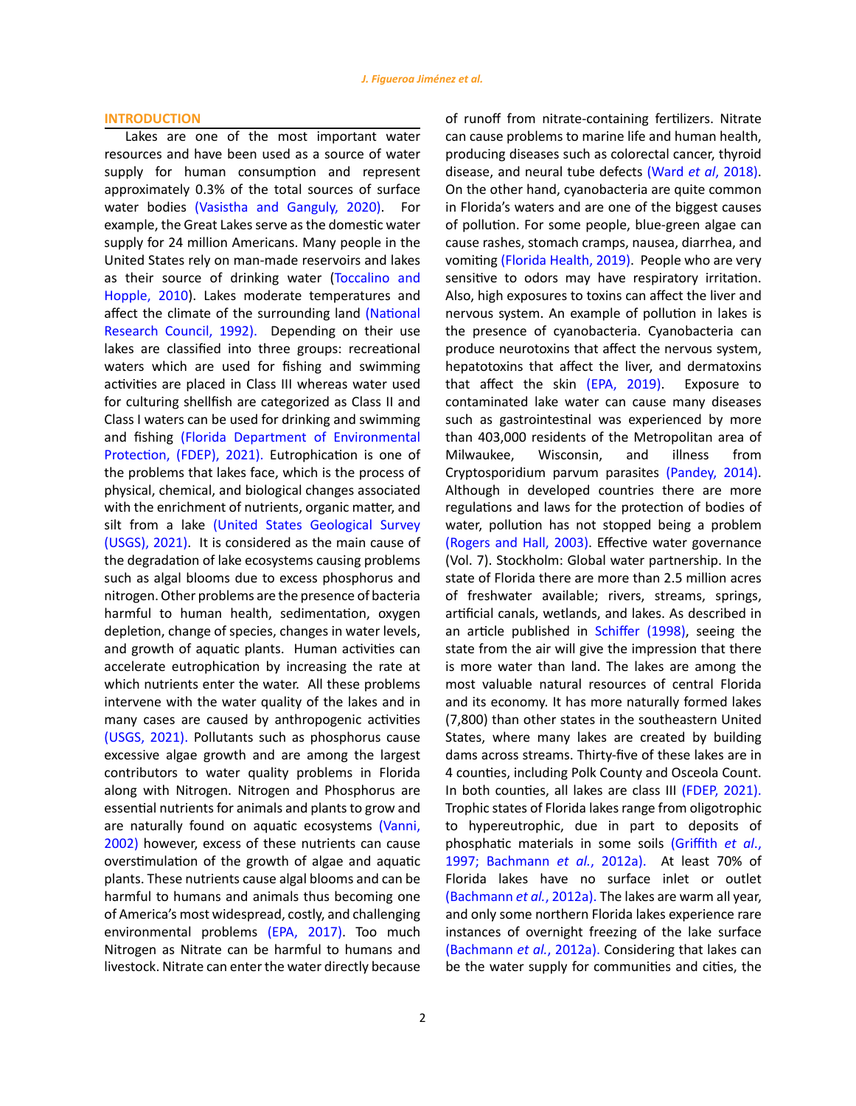### **INTRODUCTION**

Lakes are one of the most important water resources and have been used as a source of water supply for human consumption and represent approximately 0.3% of the total sources of surface water bodies (Vasistha and Ganguly, 2020). For example, the Great Lakes serve as the domestic water supply for 24 million Americans. Many people in the United States rely on man-made reservoirs and lakes as their source of drinking water (Toccalino and Hopple, 2010). Lakes moderate temperatures and affect the climate of the surrounding land (National Research Council, 1992). Depending on their use lakes are classified into three groups: recreational waters which are used for fishing and swimming activities are placed in Class III whereas water used for culturing shellfish are categorized as Class II and Class I waters can be used for drinking and swimming and fishing (Florida Department of Environmental Protection, (FDEP), 2021). Eutrophication is one of the problems that lakes face, which is the process of physical, chemical, and biological changes associated with the enrichment of nutrients, organic matter, and silt from a lake (United States Geological Survey (USGS), 2021). It is considered as the main cause of the degradation of lake ecosystems causing problems such as algal blooms due to excess phosphorus and nitrogen. Other problems are the presence of bacteria harmful to human health, sedimentation, oxygen depletion, change of species, changes in water levels, and growth of aquatic plants. Human activities can accelerate eutrophication by increasing the rate at which nutrients enter the water. All these problems intervene with the water quality of the lakes and in many cases are caused by anthropogenic activities (USGS, 2021). Pollutants such as phosphorus cause excessive algae growth and are among the largest contributors to water quality problems in Florida along with Nitrogen. Nitrogen and Phosphorus are essential nutrients for animals and plants to grow and are naturally found on aquatic ecosystems (Vanni, 2002) however, excess of these nutrients can cause overstimulation of the growth of algae and aquatic plants. These nutrients cause algal blooms and can be harmful to humans and animals thus becoming one of America's most widespread, costly, and challenging environmental problems (EPA, 2017). Too much Nitrogen as Nitrate can be harmful to humans and livestock. Nitrate can enter the water directly because of runoff from nitrate-containing fertilizers. Nitrate can cause problems to marine life and human health, producing diseases such as colorectal cancer, thyroid disease, and neural tube defects (Ward *et al*, 2018). On the other hand, cyanobacteria are quite common in Florida's waters and are one of the biggest causes of pollution. For some people, blue-green algae can cause rashes, stomach cramps, nausea, diarrhea, and vomiting (Florida Health, 2019). People who are very sensitive to odors may have respiratory irritation. Also, high exposures to toxins can affect the liver and nervous system. An example of pollution in lakes is the presence of cyanobacteria. Cyanobacteria can produce neurotoxins that affect the nervous system, hepatotoxins that affect the liver, and dermatoxins that affect the skin (EPA, 2019). Exposure to contaminated lake water can cause many diseases such as gastrointestinal was experienced by more than 403,000 residents of the Metropolitan area of Milwaukee, Wisconsin, and illness from Cryptosporidium parvum parasites (Pandey, 2014). Although in developed countries there are more regulations and laws for the protection of bodies of water, pollution has not stopped being a problem (Rogers and Hall, 2003). Effective water governance (Vol. 7). Stockholm: Global water partnership. In the state of Florida there are more than 2.5 million acres of freshwater available; rivers, streams, springs, artificial canals, wetlands, and lakes. As described in an article published in Schiffer (1998), seeing the state from the air will give the impression that there is more water than land. The lakes are among the most valuable natural resources of central Florida and its economy. It has more naturally formed lakes (7,800) than other states in the southeastern United States, where many lakes are created by building dams across streams. Thirty-five of these lakes are in 4 counties, including Polk County and Osceola Count. In both counties, all lakes are class III (FDEP, 2021). Trophic states of Florida lakes range from oligotrophic to hypereutrophic, due in part to deposits of phosphatic materials in some soils (Griffith *et al*., 1997; Bachmann *et al.*, 2012a). At least 70% of Florida lakes have no surface inlet or outlet (Bachmann *et al.*, 2012a). The lakes are warm all year, and only some northern Florida lakes experience rare instances of overnight freezing of the lake surface (Bachmann *et al.*, 2012a). Considering that lakes can be the water supply for communities and cities, the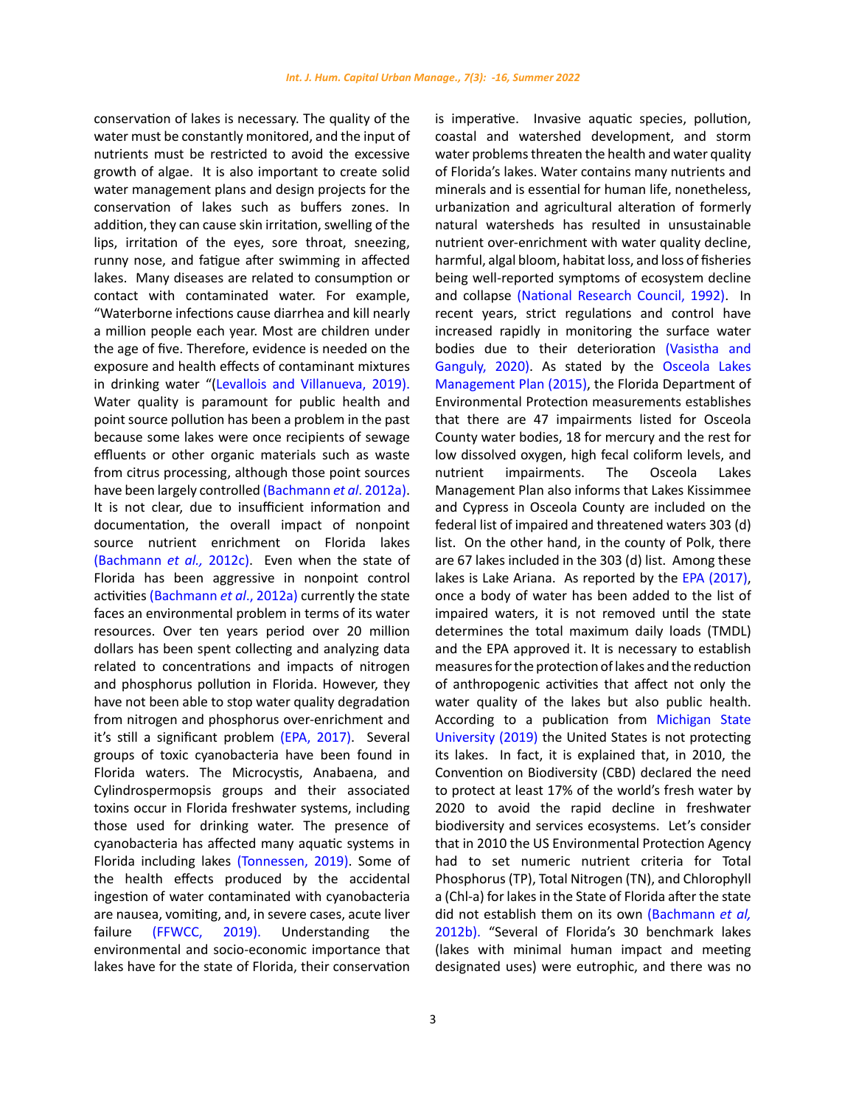conservation of lakes is necessary. The quality of the water must be constantly monitored, and the input of nutrients must be restricted to avoid the excessive growth of algae. It is also important to create solid water management plans and design projects for the conservation of lakes such as buffers zones. In addition, they can cause skin irritation, swelling of the lips, irritation of the eyes, sore throat, sneezing, runny nose, and fatigue after swimming in affected lakes. Many diseases are related to consumption or contact with contaminated water. For example, "Waterborne infections cause diarrhea and kill nearly a million people each year. Most are children under the age of five. Therefore, evidence is needed on the exposure and health effects of contaminant mixtures in drinking water "(Levallois and Villanueva, 2019). Water quality is paramount for public health and point source pollution has been a problem in the past because some lakes were once recipients of sewage effluents or other organic materials such as waste from citrus processing, although those point sources have been largely controlled (Bachmann *et al*. 2012a). It is not clear, due to insufficient information and documentation, the overall impact of nonpoint source nutrient enrichment on Florida lakes (Bachmann *et al.,* 2012c). Even when the state of Florida has been aggressive in nonpoint control activities (Bachmann *et al*., 2012a) currently the state faces an environmental problem in terms of its water resources. Over ten years period over 20 million dollars has been spent collecting and analyzing data related to concentrations and impacts of nitrogen and phosphorus pollution in Florida. However, they have not been able to stop water quality degradation from nitrogen and phosphorus over-enrichment and it's still a significant problem (EPA, 2017). Several groups of toxic cyanobacteria have been found in Florida waters. The Microcystis, Anabaena, and Cylindrospermopsis groups and their associated toxins occur in Florida freshwater systems, including those used for drinking water. The presence of cyanobacteria has affected many aquatic systems in Florida including lakes (Tonnessen, 2019). Some of the health effects produced by the accidental ingestion of water contaminated with cyanobacteria are nausea, vomiting, and, in severe cases, acute liver failure (FFWCC, 2019). Understanding the environmental and socio-economic importance that lakes have for the state of Florida, their conservation

3

is imperative. Invasive aquatic species, pollution, coastal and watershed development, and storm water problems threaten the health and water quality of Florida's lakes. Water contains many nutrients and minerals and is essential for human life, nonetheless, urbanization and agricultural alteration of formerly natural watersheds has resulted in unsustainable nutrient over-enrichment with water quality decline, harmful, algal bloom, habitat loss, and loss of fisheries being well-reported symptoms of ecosystem decline and collapse (National Research Council, 1992). In recent years, strict regulations and control have increased rapidly in monitoring the surface water bodies due to their deterioration (Vasistha and Ganguly, 2020). As stated by the Osceola Lakes Management Plan (2015), the Florida Department of Environmental Protection measurements establishes that there are 47 impairments listed for Osceola County water bodies, 18 for mercury and the rest for low dissolved oxygen, high fecal coliform levels, and nutrient impairments. The Osceola Lakes Management Plan also informs that Lakes Kissimmee and Cypress in Osceola County are included on the federal list of impaired and threatened waters 303 (d) list. On the other hand, in the county of Polk, there are 67 lakes included in the 303 (d) list. Among these lakes is Lake Ariana. As reported by the EPA (2017), once a body of water has been added to the list of impaired waters, it is not removed until the state determines the total maximum daily loads (TMDL) and the EPA approved it. It is necessary to establish measures for the protection of lakes and the reduction of anthropogenic activities that affect not only the water quality of the lakes but also public health. According to a publication from Michigan State University (2019) the United States is not protecting its lakes. In fact, it is explained that, in 2010, the Convention on Biodiversity (CBD) declared the need to protect at least 17% of the world's fresh water by 2020 to avoid the rapid decline in freshwater biodiversity and services ecosystems. Let's consider that in 2010 the US Environmental Protection Agency had to set numeric nutrient criteria for Total Phosphorus (TP), Total Nitrogen (TN), and Chlorophyll a (Chl-a) for lakes in the State of Florida after the state did not establish them on its own (Bachmann *et al,*  2012b). "Several of Florida's 30 benchmark lakes (lakes with minimal human impact and meeting designated uses) were eutrophic, and there was no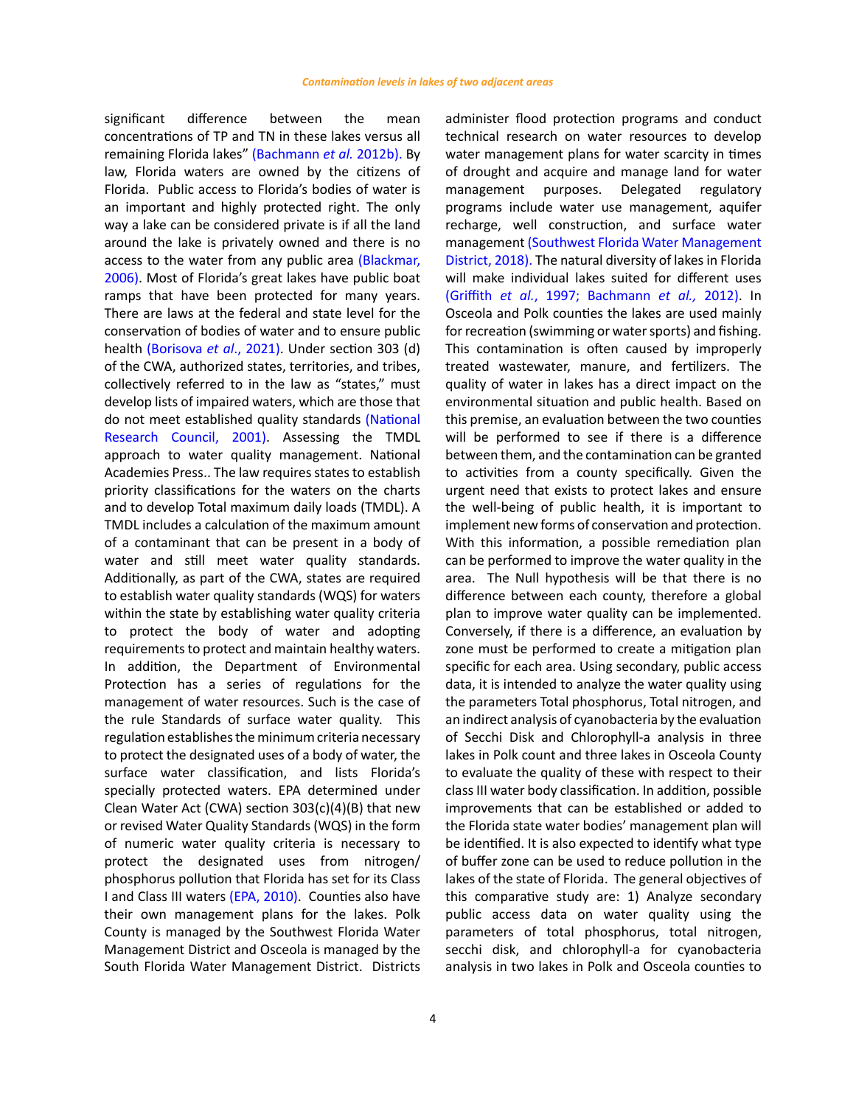significant difference between the mean concentrations of TP and TN in these lakes versus all remaining Florida lakes" (Bachmann *et al.* 2012b). By law, Florida waters are owned by the citizens of Florida. Public access to Florida's bodies of water is an important and highly protected right. The only way a lake can be considered private is if all the land around the lake is privately owned and there is no access to the water from any public area (Blackmar, 2006). Most of Florida's great lakes have public boat ramps that have been protected for many years. There are laws at the federal and state level for the conservation of bodies of water and to ensure public health (Borisova *et al*., 2021). Under section 303 (d) of the CWA, authorized states, territories, and tribes, collectively referred to in the law as "states," must develop lists of impaired waters, which are those that do not meet established quality standards (National Research Council, 2001). Assessing the TMDL approach to water quality management. National Academies Press.. The law requires states to establish priority classifications for the waters on the charts and to develop Total maximum daily loads (TMDL). A TMDL includes a calculation of the maximum amount of a contaminant that can be present in a body of water and still meet water quality standards. Additionally, as part of the CWA, states are required to establish water quality standards (WQS) for waters within the state by establishing water quality criteria to protect the body of water and adopting requirements to protect and maintain healthy waters. In addition, the Department of Environmental Protection has a series of regulations for the management of water resources. Such is the case of the rule Standards of surface water quality. This regulation establishes the minimum criteria necessary to protect the designated uses of a body of water, the surface water classification, and lists Florida's specially protected waters. EPA determined under Clean Water Act (CWA) section 303(c)(4)(B) that new or revised Water Quality Standards (WQS) in the form of numeric water quality criteria is necessary to protect the designated uses from nitrogen/ phosphorus pollution that Florida has set for its Class I and Class III waters (EPA, 2010). Counties also have their own management plans for the lakes. Polk County is managed by the Southwest Florida Water Management District and Osceola is managed by the South Florida Water Management District. Districts

administer flood protection programs and conduct technical research on water resources to develop water management plans for water scarcity in times of drought and acquire and manage land for water management purposes. Delegated regulatory programs include water use management, aquifer recharge, well construction, and surface water management (Southwest Florida Water Management District, 2018). The natural diversity of lakes in Florida will make individual lakes suited for different uses (Griffith *et al.*, 1997; Bachmann *et al.,* 2012). In Osceola and Polk counties the lakes are used mainly for recreation (swimming or water sports) and fishing. This contamination is often caused by improperly treated wastewater, manure, and fertilizers. The quality of water in lakes has a direct impact on the environmental situation and public health. Based on this premise, an evaluation between the two counties will be performed to see if there is a difference between them, and the contamination can be granted to activities from a county specifically. Given the urgent need that exists to protect lakes and ensure the well-being of public health, it is important to implement new forms of conservation and protection. With this information, a possible remediation plan can be performed to improve the water quality in the area. The Null hypothesis will be that there is no difference between each county, therefore a global plan to improve water quality can be implemented. Conversely, if there is a difference, an evaluation by zone must be performed to create a mitigation plan specific for each area. Using secondary, public access data, it is intended to analyze the water quality using the parameters Total phosphorus, Total nitrogen, and an indirect analysis of cyanobacteria by the evaluation of Secchi Disk and Chlorophyll-a analysis in three lakes in Polk count and three lakes in Osceola County to evaluate the quality of these with respect to their class III water body classification. In addition, possible improvements that can be established or added to the Florida state water bodies' management plan will be identified. It is also expected to identify what type of buffer zone can be used to reduce pollution in the lakes of the state of Florida. The general objectives of this comparative study are: 1) Analyze secondary public access data on water quality using the parameters of total phosphorus, total nitrogen, secchi disk, and chlorophyll-a for cyanobacteria analysis in two lakes in Polk and Osceola counties to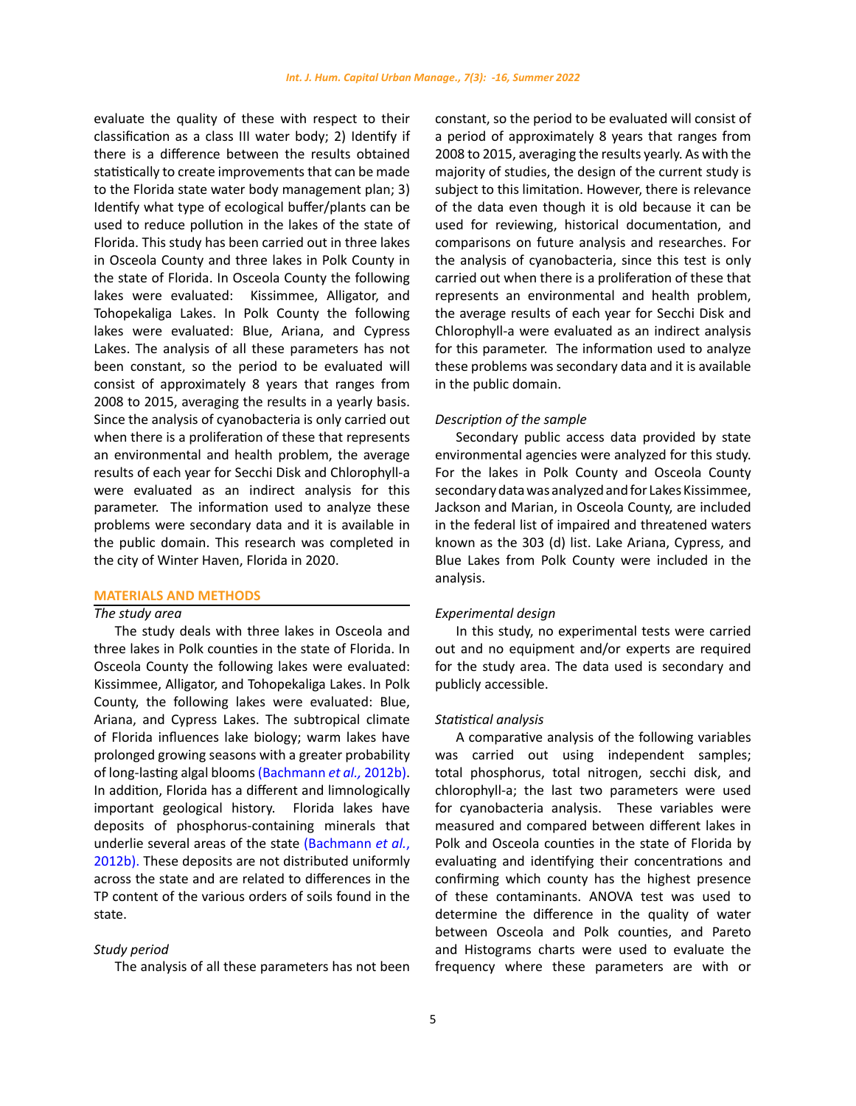evaluate the quality of these with respect to their classification as a class III water body; 2) Identify if there is a difference between the results obtained statistically to create improvements that can be made to the Florida state water body management plan; 3) Identify what type of ecological buffer/plants can be used to reduce pollution in the lakes of the state of Florida. This study has been carried out in three lakes in Osceola County and three lakes in Polk County in the state of Florida. In Osceola County the following lakes were evaluated: Kissimmee, Alligator, and Tohopekaliga Lakes. In Polk County the following lakes were evaluated: Blue, Ariana, and Cypress Lakes. The analysis of all these parameters has not been constant, so the period to be evaluated will consist of approximately 8 years that ranges from 2008 to 2015, averaging the results in a yearly basis. Since the analysis of cyanobacteria is only carried out when there is a proliferation of these that represents an environmental and health problem, the average results of each year for Secchi Disk and Chlorophyll-a were evaluated as an indirect analysis for this parameter. The information used to analyze these problems were secondary data and it is available in the public domain. This research was completed in the city of Winter Haven, Florida in 2020.

#### **MATERIALS AND METHODS**

# *The study area*

The study deals with three lakes in Osceola and three lakes in Polk counties in the state of Florida. In Osceola County the following lakes were evaluated: Kissimmee, Alligator, and Tohopekaliga Lakes. In Polk County, the following lakes were evaluated: Blue, Ariana, and Cypress Lakes. The subtropical climate of Florida influences lake biology; warm lakes have prolonged growing seasons with a greater probability of long-lasting algal blooms (Bachmann *et al.,* 2012b). In addition, Florida has a different and limnologically important geological history. Florida lakes have deposits of phosphorus-containing minerals that underlie several areas of the state (Bachmann *et al.*, 2012b). These deposits are not distributed uniformly across the state and are related to differences in the TP content of the various orders of soils found in the state.

### *Study period*

The analysis of all these parameters has not been

constant, so the period to be evaluated will consist of a period of approximately 8 years that ranges from 2008 to 2015, averaging the results yearly. As with the majority of studies, the design of the current study is subject to this limitation. However, there is relevance of the data even though it is old because it can be used for reviewing, historical documentation, and comparisons on future analysis and researches. For the analysis of cyanobacteria, since this test is only carried out when there is a proliferation of these that represents an environmental and health problem, the average results of each year for Secchi Disk and Chlorophyll-a were evaluated as an indirect analysis for this parameter. The information used to analyze these problems was secondary data and it is available in the public domain.

# *Description of the sample*

Secondary public access data provided by state environmental agencies were analyzed for this study. For the lakes in Polk County and Osceola County secondary data was analyzed and for Lakes Kissimmee, Jackson and Marian, in Osceola County, are included in the federal list of impaired and threatened waters known as the 303 (d) list. Lake Ariana, Cypress, and Blue Lakes from Polk County were included in the analysis.

### *Experimental design*

In this study, no experimental tests were carried out and no equipment and/or experts are required for the study area. The data used is secondary and publicly accessible.

### *Statistical analysis*

A comparative analysis of the following variables was carried out using independent samples; total phosphorus, total nitrogen, secchi disk, and chlorophyll-a; the last two parameters were used for cyanobacteria analysis. These variables were measured and compared between different lakes in Polk and Osceola counties in the state of Florida by evaluating and identifying their concentrations and confirming which county has the highest presence of these contaminants. ANOVA test was used to determine the difference in the quality of water between Osceola and Polk counties, and Pareto and Histograms charts were used to evaluate the frequency where these parameters are with or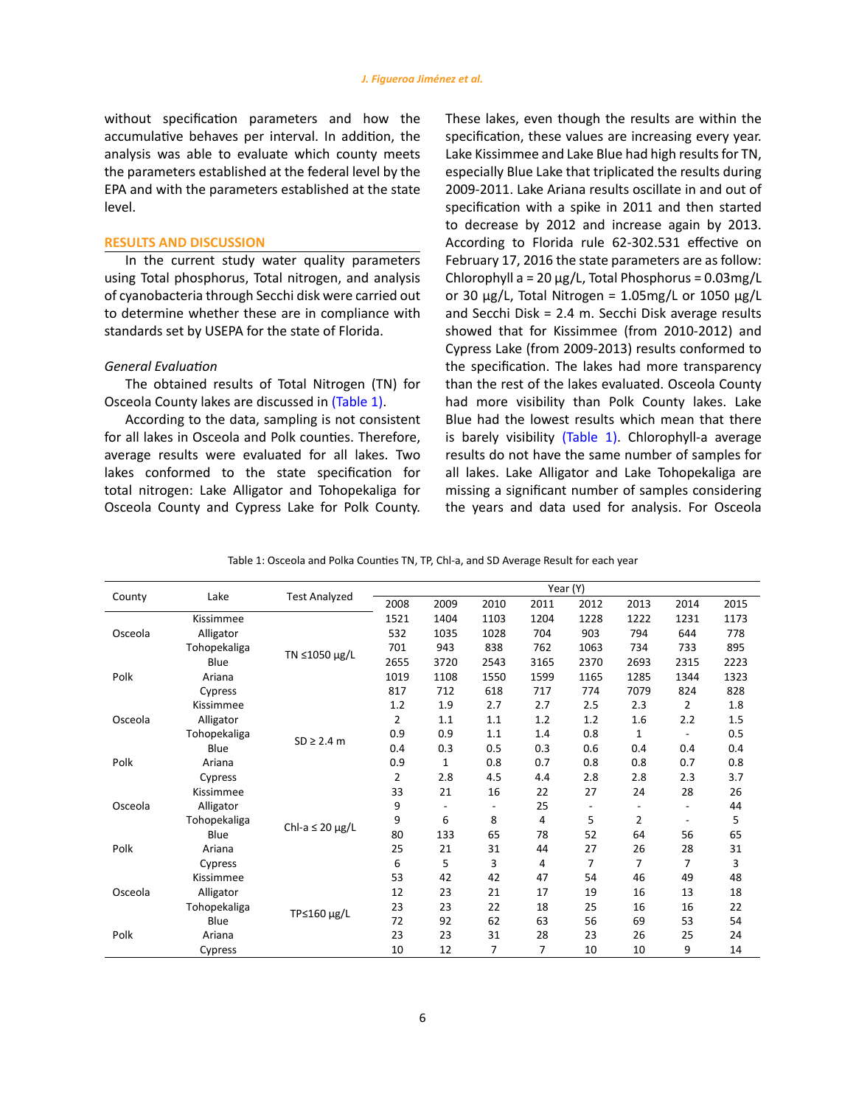without specification parameters and how the accumulative behaves per interval. In addition, the analysis was able to evaluate which county meets the parameters established at the federal level by the EPA and with the parameters established at the state level.

#### **RESULTS AND DISCUSSION**

In the current study water quality parameters using Total phosphorus, Total nitrogen, and analysis of cyanobacteria through Secchi disk were carried out to determine whether these are in compliance with standards set by USEPA for the state of Florida.

## *General Evaluation*

The obtained results of Total Nitrogen (TN) for Osceola County lakes are discussed in (Table 1).

According to the data, sampling is not consistent for all lakes in Osceola and Polk counties. Therefore, average results were evaluated for all lakes. Two lakes conformed to the state specification for total nitrogen: Lake Alligator and Tohopekaliga for Osceola County and Cypress Lake for Polk County.

These lakes, even though the results are within the specification, these values are increasing every year. Lake Kissimmee and Lake Blue had high results for TN, especially Blue Lake that triplicated the results during 2009-2011. Lake Ariana results oscillate in and out of specification with a spike in 2011 and then started to decrease by 2012 and increase again by 2013. According to Florida rule 62-302.531 effective on February 17, 2016 the state parameters are as follow: Chlorophyll a = 20 µg/L, Total Phosphorus = 0.03mg/L or 30  $\mu$ g/L, Total Nitrogen = 1.05mg/L or 1050  $\mu$ g/L and Secchi Disk = 2.4 m. Secchi Disk average results showed that for Kissimmee (from 2010-2012) and Cypress Lake (from 2009-2013) results conformed to the specification. The lakes had more transparency than the rest of the lakes evaluated. Osceola County had more visibility than Polk County lakes. Lake Blue had the lowest results which mean that there is barely visibility (Table 1). Chlorophyll-a average results do not have the same number of samples for all lakes. Lake Alligator and Lake Tohopekaliga are missing a significant number of samples considering the years and data used for analysis. For Osceola

Table 1: Osceola and Polka Counties TN, TP, Chl-a, and SD Average Result for each year Table 1: Osceola and Polka Counties TN, TP, Chl-a, and SD Average Result for each year

| Lake<br>County |              | <b>Test Analyzed</b>      | Year (Y)       |                          |                          |      |      |                          |                          |      |
|----------------|--------------|---------------------------|----------------|--------------------------|--------------------------|------|------|--------------------------|--------------------------|------|
|                | 2008         |                           | 2009           | 2010                     | 2011                     | 2012 | 2013 | 2014                     | 2015                     |      |
|                | Kissimmee    |                           | 1521           | 1404                     | 1103                     | 1204 | 1228 | 1222                     | 1231                     | 1173 |
| Osceola        | Alligator    |                           | 532            | 1035                     | 1028                     | 704  | 903  | 794                      | 644                      | 778  |
|                | Tohopekaliga | TN ≤1050 µg/L             | 701            | 943                      | 838                      | 762  | 1063 | 734                      | 733                      | 895  |
|                | Blue         |                           | 2655           | 3720                     | 2543                     | 3165 | 2370 | 2693                     | 2315                     | 2223 |
| Polk           | Ariana       |                           | 1019           | 1108                     | 1550                     | 1599 | 1165 | 1285                     | 1344                     | 1323 |
|                | Cypress      |                           | 817            | 712                      | 618                      | 717  | 774  | 7079                     | 824                      | 828  |
|                | Kissimmee    |                           | 1.2            | 1.9                      | 2.7                      | 2.7  | 2.5  | 2.3                      | $\overline{2}$           | 1.8  |
| Osceola        | Alligator    |                           | $\overline{2}$ | 1.1                      | 1.1                      | 1.2  | 1.2  | 1.6                      | 2.2                      | 1.5  |
|                | Tohopekaliga | $SD \geq 2.4$ m           | 0.9            | 0.9                      | 1.1                      | 1.4  | 0.8  | $\mathbf{1}$             | $\overline{\phantom{a}}$ | 0.5  |
|                | Blue         |                           | 0.4            | 0.3                      | 0.5                      | 0.3  | 0.6  | 0.4                      | 0.4                      | 0.4  |
| Polk           | Ariana       |                           | 0.9            | $\mathbf{1}$             | 0.8                      | 0.7  | 0.8  | 0.8                      | 0.7                      | 0.8  |
|                | Cypress      |                           | $\overline{2}$ | 2.8                      | 4.5                      | 4.4  | 2.8  | 2.8                      | 2.3                      | 3.7  |
|                | Kissimmee    |                           | 33             | 21                       | 16                       | 22   | 27   | 24                       | 28                       | 26   |
| Osceola        | Alligator    | Chl-a $\leq$ 20 $\mu$ g/L | 9              | $\overline{\phantom{a}}$ | $\overline{\phantom{a}}$ | 25   |      | $\overline{\phantom{m}}$ | $\overline{\phantom{a}}$ | 44   |
|                | Tohopekaliga |                           | 9              | 6                        | 8                        | 4    | 5    | $\overline{2}$           | $\overline{\phantom{a}}$ | 5    |
|                | Blue         |                           | 80             | 133                      | 65                       | 78   | 52   | 64                       | 56                       | 65   |
| Polk           | Ariana       |                           | 25             | 21                       | 31                       | 44   | 27   | 26                       | 28                       | 31   |
|                | Cypress      |                           | 6              | 5                        | 3                        | 4    | 7    | 7                        | 7                        | 3    |
|                | Kissimmee    |                           | 53             | 42                       | 42                       | 47   | 54   | 46                       | 49                       | 48   |
| Osceola        | Alligator    |                           | 12             | 23                       | 21                       | 17   | 19   | 16                       | 13                       | 18   |
|                | Tohopekaliga | TP≤160 µg/L               | 23             | 23                       | 22                       | 18   | 25   | 16                       | 16                       | 22   |
|                | Blue         |                           | 72             | 92                       | 62                       | 63   | 56   | 69                       | 53                       | 54   |
| Polk           | Ariana       |                           | 23             | 23                       | 31                       | 28   | 23   | 26                       | 25                       | 24   |
| Cypress        |              | 10                        | 12             | 7                        | 7                        | 10   | 10   | 9                        | 14                       |      |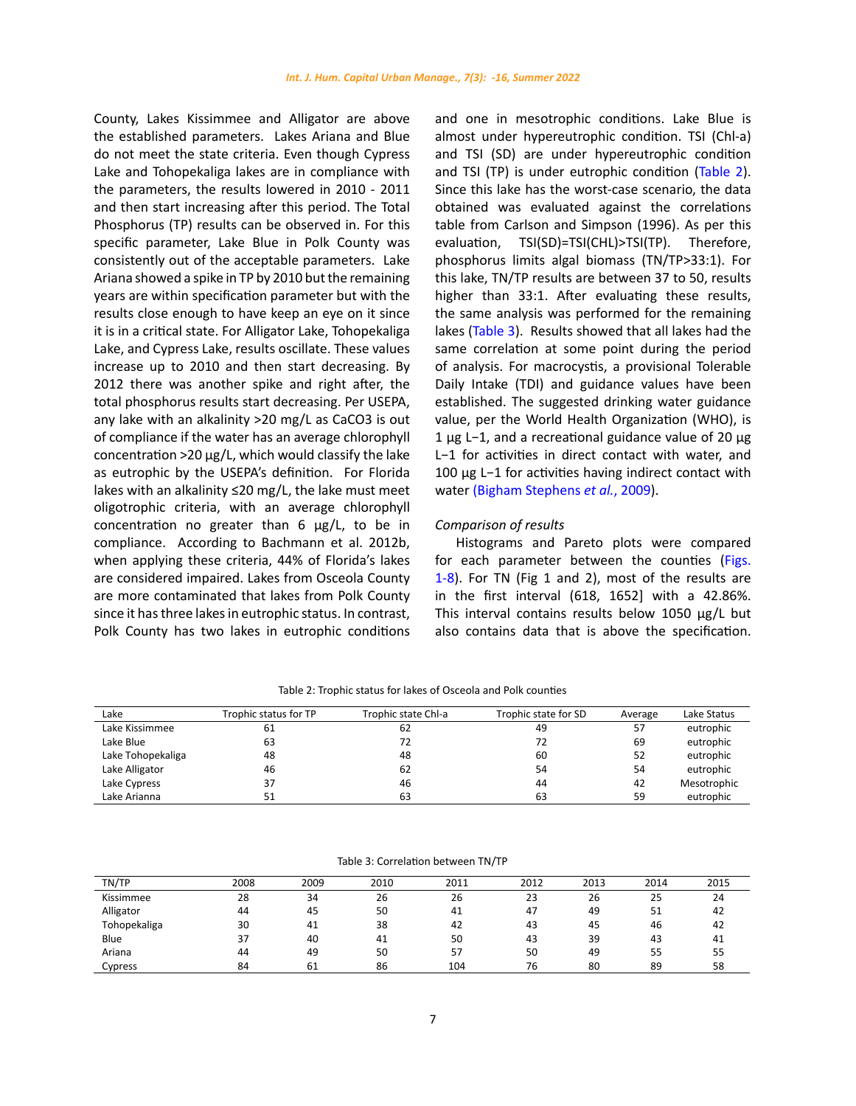County, Lakes Kissimmee and Alligator are above the established parameters. Lakes Ariana and Blue do not meet the state criteria. Even though Cypress Lake and Tohopekaliga lakes are in compliance with the parameters, the results lowered in 2010 - 2011 and then start increasing after this period. The Total Phosphorus (TP) results can be observed in. For this specific parameter, Lake Blue in Polk County was consistently out of the acceptable parameters. Lake Ariana showed a spike in TP by 2010 but the remaining years are within specification parameter but with the results close enough to have keep an eye on it since it is in a critical state. For Alligator Lake, Tohopekaliga Lake, and Cypress Lake, results oscillate. These values increase up to 2010 and then start decreasing. By 2012 there was another spike and right after, the total phosphorus results start decreasing. Per USEPA, any lake with an alkalinity >20 mg/L as CaCO3 is out of compliance if the water has an average chlorophyll concentration >20 µg/L, which would classify the lake as eutrophic by the USEPA's definition. For Florida lakes with an alkalinity ≤20 mg/L, the lake must meet oligotrophic criteria, with an average chlorophyll concentration no greater than 6 ug/L, to be in compliance. According to Bachmann et al. 2012b, when applying these criteria, 44% of Florida's lakes are considered impaired. Lakes from Osceola County are more contaminated that lakes from Polk County since it has three lakes in eutrophic status. In contrast, Polk County has two lakes in eutrophic conditions

and one in mesotrophic conditions. Lake Blue is almost under hypereutrophic condition. TSI (Chl-a) and TSI (SD) are under hypereutrophic condition and TSI (TP) is under eutrophic condition (Table 2). Since this lake has the worst-case scenario, the data obtained was evaluated against the correlations table from Carlson and Simpson (1996). As per this evaluation, TSI(SD)=TSI(CHL)>TSI(TP). Therefore, phosphorus limits algal biomass (TN/TP>33:1). For this lake, TN/TP results are between 37 to 50, results higher than 33:1. After evaluating these results, the same analysis was performed for the remaining lakes (Table 3). Results showed that all lakes had the same correlation at some point during the period of analysis. For macrocystis, a provisional Tolerable Daily Intake (TDI) and guidance values have been established. The suggested drinking water guidance value, per the World Health Organization (WHO), is 1 µg L−1, and a recreational guidance value of 20 µg L−1 for activities in direct contact with water, and 100 µg L−1 for activities having indirect contact with water (Bigham Stephens *et al.*, 2009).

# *Comparison of results*

Histograms and Pareto plots were compared for each parameter between the counties (Figs. 1-8). For TN (Fig 1 and 2), most of the results are in the first interval (618, 1652] with a 42.86%. This interval contains results below 1050 µg/L but also contains data that is above the specification.

| Lake              | Trophic status for TP | Trophic state Chl-a | Trophic state for SD | Average | Lake Status |
|-------------------|-----------------------|---------------------|----------------------|---------|-------------|
| Lake Kissimmee    | 61                    | 62                  | 49                   | 57      | eutrophic   |
| Lake Blue         | 63                    | 72                  | 72                   | 69      | eutrophic   |
| Lake Tohopekaliga | 48                    | 48                  | 60                   | 52      | eutrophic   |
| Lake Alligator    | 46                    | 62                  | 54                   | 54      | eutrophic   |
| Lake Cypress      | 37                    | 46                  | 44                   | 42      | Mesotrophic |
| Lake Arianna      | 51                    | 63                  | 63                   | 59      | eutrophic   |

Table 2: Trophic status for lakes of Osceola and Polk counties Table 2: Trophic status for lakes of Osceola and Polk counties

| TN/TP        | 2008 | 2009 | 2010 | 2011 | 2012 | 2013 | 2014 | 2015 |
|--------------|------|------|------|------|------|------|------|------|
| Kissimmee    | 28   | 34   | 26   | 26   | 23   | 26   | 25   | 24   |
| Alligator    | 44   | 45   | 50   | 41   | 47   | 49   | 51   | 42   |
| Tohopekaliga | 30   | 41   | 38   | 42   | 43   | 45   | 46   | 42   |
| Blue         | 37   | 40   | 41   | 50   | 43   | 39   | 43   | 41   |
| Ariana       | 44   | 49   | 50   | 57   | 50   | 49   | 55   | 55   |
| Cypress      | 84   | 61   | 86   | 104  | 76   | 80   | 89   | 58   |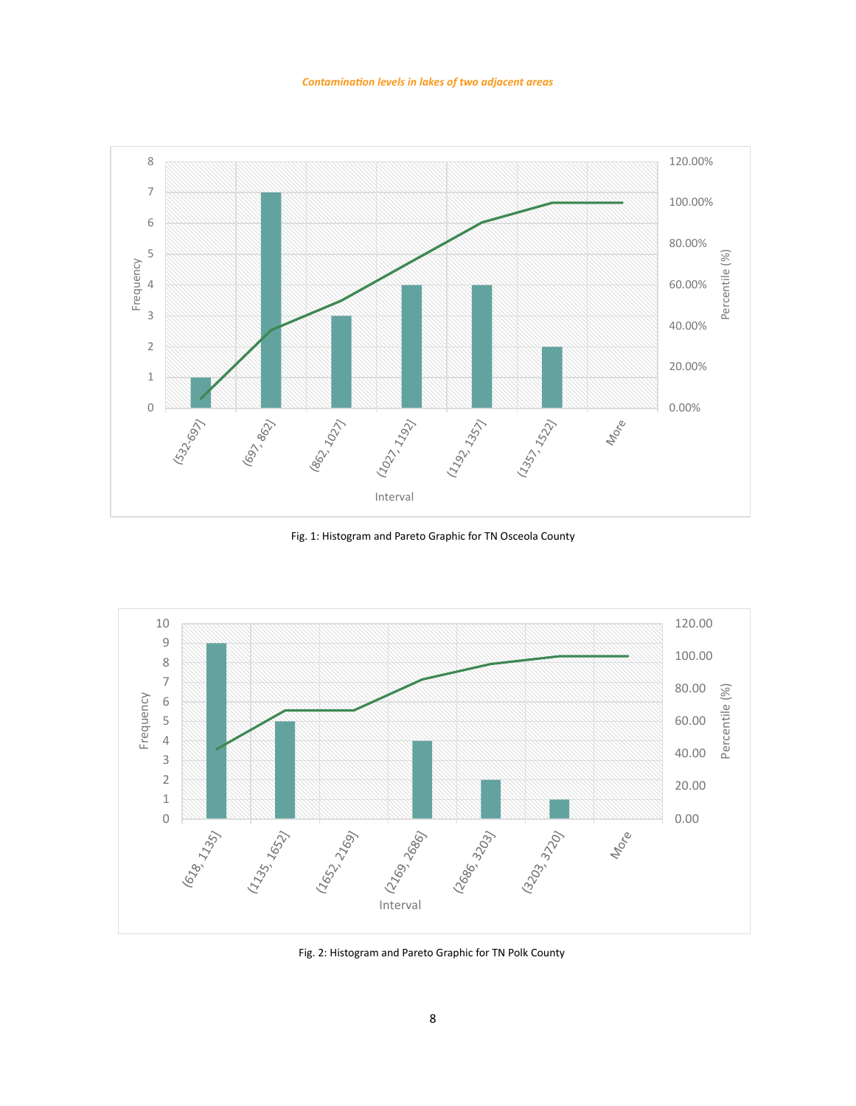

Fig. 1: Histogram and Pareto Graphic for TN Osceola County Fig. 1: Histogram and Pareto Graphic for TN Osceola County



Fig. 2: Histogram and Pareto Graphic for TN Polk County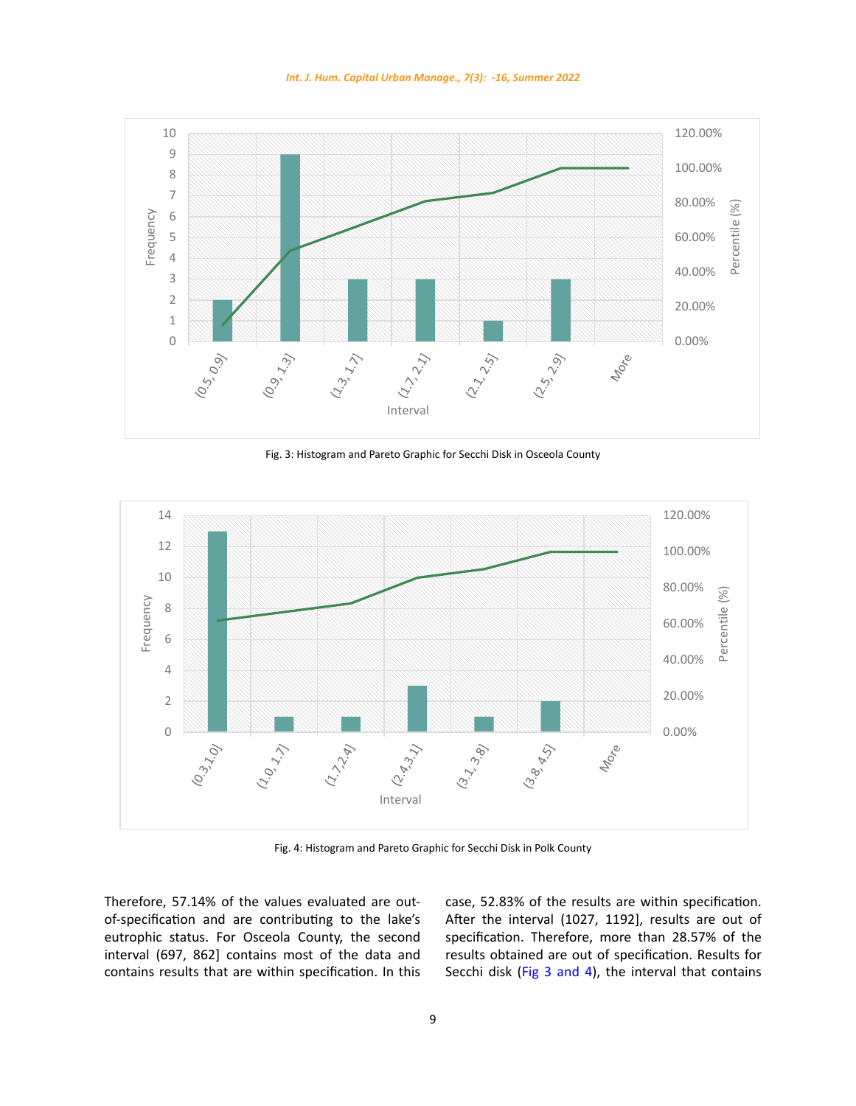



Fig. 3: Histogram and Pareto Graphic for Secchi Disk in Osceola County



Fig. 4: Histogram and Pareto Graphic for Secchi Disk in Polk County Fig. 4: Histogram and Pareto Graphic for Secchi Disk in Polk County

Therefore, 57.14% of the values evaluated are outof-specification and are contributing to the lake's eutrophic status. For Osceola County, the second interval (697, 862] contains most of the data and contains results that are within specification. In this case, 52.83% of the results are within specification. After the interval (1027, 1192], results are out of specification. Therefore, more than 28.57% of the results obtained are out of specification. Results for Secchi disk (Fig 3 and 4), the interval that contains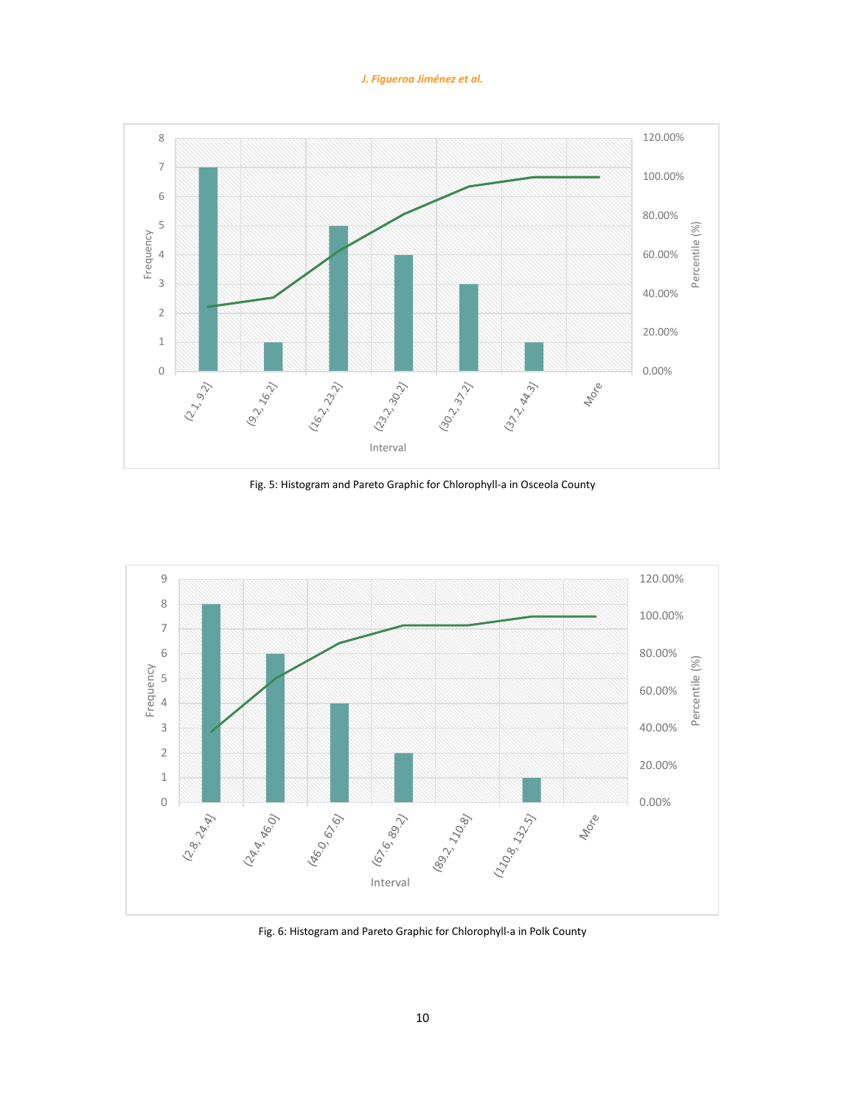# *J. Figueroa Jiménez et al.*



Fig. 5: Histogram and Pareto Graphic for Chlorophyll-a in Osceola County Fig. 5: Histogram and Pareto Graphic for Chlorophyll-a in Osceola County



Fig. 6: Histogram and Pareto Graphic for Chlorophyll-a in Polk County Fig. 6: Histogram and Pareto Graphic for Chlorophyll-a in Polk County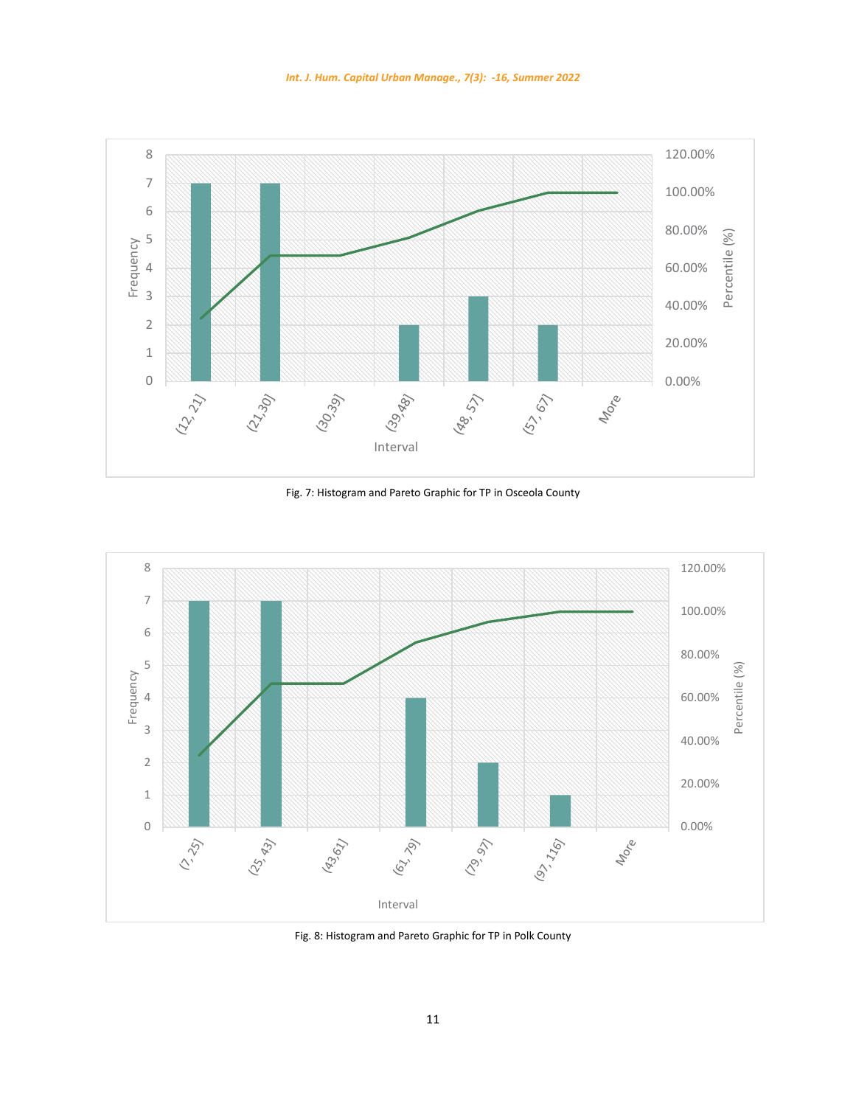



Fig. 7: Histogram and Pareto Graphic for TP in Osceola County Fig. 7: Histogram and Pareto Graphic for TP in Osceola County



Fig. 8: Histogram and Pareto Graphic for TP in Polk County Fig. 8: Histogram and Pareto Graphic for TP in Polk County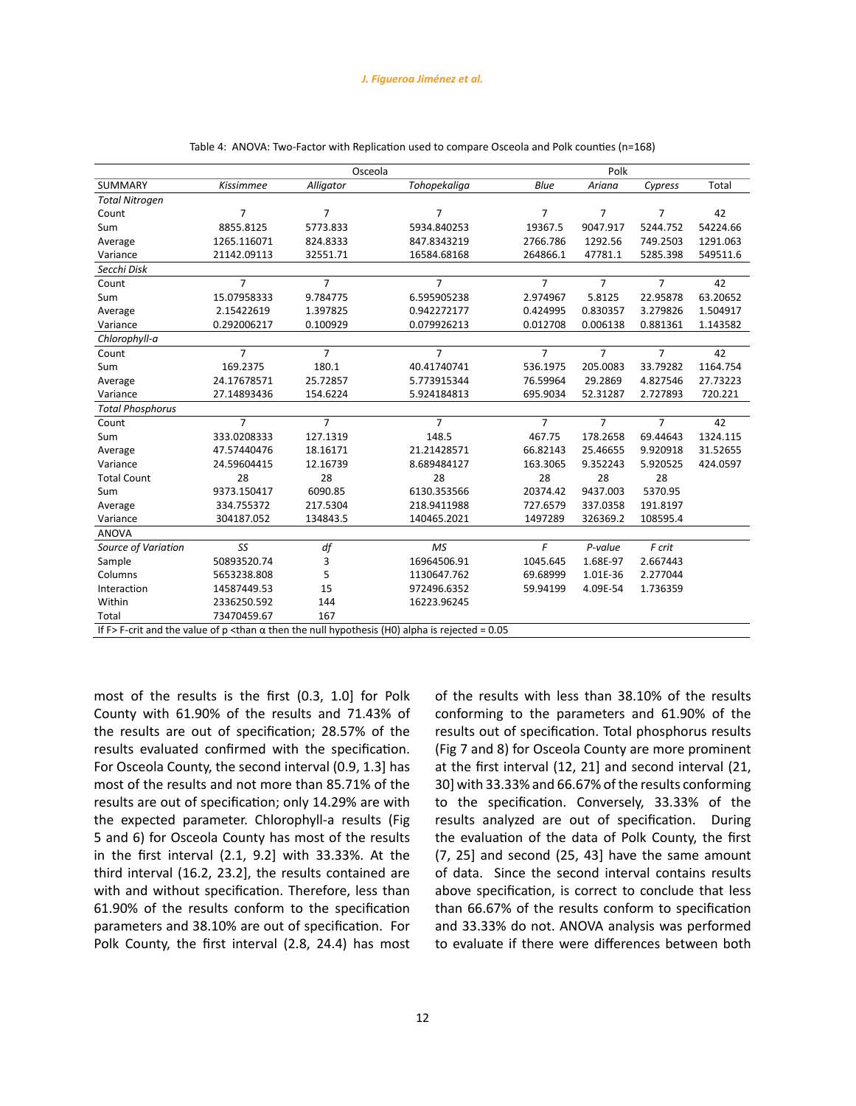|                                                                                                                    |                | Osceola        |                |                | Polk           |                |          |
|--------------------------------------------------------------------------------------------------------------------|----------------|----------------|----------------|----------------|----------------|----------------|----------|
| SUMMARY                                                                                                            | Kissimmee      | Alligator      | Tohopekaliga   | Blue           | Ariana         | Cypress        | Total    |
| <b>Total Nitrogen</b>                                                                                              |                |                |                |                |                |                |          |
| Count                                                                                                              | $\overline{7}$ | $\overline{7}$ | $\overline{7}$ | $\overline{7}$ | $\overline{7}$ | $\overline{7}$ | 42       |
| Sum                                                                                                                | 8855.8125      | 5773.833       | 5934.840253    | 19367.5        | 9047.917       | 5244.752       | 54224.66 |
| Average                                                                                                            | 1265.116071    | 824.8333       | 847.8343219    | 2766.786       | 1292.56        | 749.2503       | 1291.063 |
| Variance                                                                                                           | 21142.09113    | 32551.71       | 16584.68168    | 264866.1       | 47781.1        | 5285.398       | 549511.6 |
| Secchi Disk                                                                                                        |                |                |                |                |                |                |          |
| Count                                                                                                              | $\overline{7}$ | $\overline{7}$ | $\overline{7}$ | $\overline{7}$ | $\overline{7}$ | $\overline{7}$ | 42       |
| Sum                                                                                                                | 15.07958333    | 9.784775       | 6.595905238    | 2.974967       | 5.8125         | 22.95878       | 63.20652 |
| Average                                                                                                            | 2.15422619     | 1.397825       | 0.942272177    | 0.424995       | 0.830357       | 3.279826       | 1.504917 |
| Variance                                                                                                           | 0.292006217    | 0.100929       | 0.079926213    | 0.012708       | 0.006138       | 0.881361       | 1.143582 |
| Chlorophyll-a                                                                                                      |                |                |                |                |                |                |          |
| Count                                                                                                              | $\overline{7}$ | $\overline{7}$ | $\overline{7}$ | $\overline{7}$ | $\overline{7}$ | $\overline{7}$ | 42       |
| Sum                                                                                                                | 169.2375       | 180.1          | 40.41740741    | 536.1975       | 205.0083       | 33.79282       | 1164.754 |
| Average                                                                                                            | 24.17678571    | 25.72857       | 5.773915344    | 76.59964       | 29.2869        | 4.827546       | 27.73223 |
| Variance                                                                                                           | 27.14893436    | 154.6224       | 5.924184813    | 695.9034       | 52.31287       | 2.727893       | 720.221  |
| <b>Total Phosphorus</b>                                                                                            |                |                |                |                |                |                |          |
| Count                                                                                                              | $\overline{7}$ | $\overline{7}$ | $\overline{7}$ | $\overline{7}$ | $\overline{7}$ | $\overline{7}$ | 42       |
| Sum                                                                                                                | 333.0208333    | 127.1319       | 148.5          | 467.75         | 178.2658       | 69.44643       | 1324.115 |
| Average                                                                                                            | 47.57440476    | 18.16171       | 21.21428571    | 66.82143       | 25.46655       | 9.920918       | 31.52655 |
| Variance                                                                                                           | 24.59604415    | 12.16739       | 8.689484127    | 163.3065       | 9.352243       | 5.920525       | 424.0597 |
| <b>Total Count</b>                                                                                                 | 28             | 28             | 28             | 28             | 28             | 28             |          |
| Sum                                                                                                                | 9373.150417    | 6090.85        | 6130.353566    | 20374.42       | 9437.003       | 5370.95        |          |
| Average                                                                                                            | 334.755372     | 217.5304       | 218.9411988    | 727.6579       | 337.0358       | 191.8197       |          |
| Variance                                                                                                           | 304187.052     | 134843.5       | 140465.2021    | 1497289        | 326369.2       | 108595.4       |          |
| <b>ANOVA</b>                                                                                                       |                |                |                |                |                |                |          |
| Source of Variation                                                                                                | SS             | df             | <b>MS</b>      | F              | P-value        | F crit         |          |
| Sample                                                                                                             | 50893520.74    | 3              | 16964506.91    | 1045.645       | 1.68E-97       | 2.667443       |          |
| Columns                                                                                                            | 5653238.808    | 5              | 1130647.762    | 69.68999       | 1.01E-36       | 2.277044       |          |
| Interaction                                                                                                        | 14587449.53    | 15             | 972496.6352    | 59.94199       | 4.09E-54       | 1.736359       |          |
| Within                                                                                                             | 2336250.592    | 144            | 16223.96245    |                |                |                |          |
| Total                                                                                                              | 73470459.67    | 167            |                |                |                |                |          |
| If F>F-crit and the value of p <than <math="">\alpha then the null hypothesis (H0) alpha is rejected = 0.05</than> |                |                |                |                |                |                |          |

| Table 4: ANOVA: Two-Factor with Replication used to compare Osceola and Polk counties (n=168) |  |
|-----------------------------------------------------------------------------------------------|--|
|-----------------------------------------------------------------------------------------------|--|

most of the results is the first (0.3, 1.0] for Polk County with 61.90% of the results and 71.43% of the results are out of specification; 28.57% of the results evaluated confirmed with the specification. For Osceola County, the second interval (0.9, 1.3] has most of the results and not more than 85.71% of the results are out of specification; only 14.29% are with the expected parameter. Chlorophyll-a results (Fig 5 and 6) for Osceola County has most of the results in the first interval (2.1, 9.2] with 33.33%. At the third interval (16.2, 23.2], the results contained are with and without specification. Therefore, less than 61.90% of the results conform to the specification parameters and 38.10% are out of specification. For Polk County, the first interval (2.8, 24.4) has most of the results with less than 38.10% of the results conforming to the parameters and 61.90% of the results out of specification. Total phosphorus results (Fig 7 and 8) for Osceola County are more prominent at the first interval (12, 21] and second interval (21, 30] with 33.33% and 66.67% of the results conforming to the specification. Conversely, 33.33% of the results analyzed are out of specification. During the evaluation of the data of Polk County, the first (7, 25] and second (25, 43] have the same amount of data. Since the second interval contains results above specification, is correct to conclude that less than 66.67% of the results conform to specification and 33.33% do not. ANOVA analysis was performed to evaluate if there were differences between both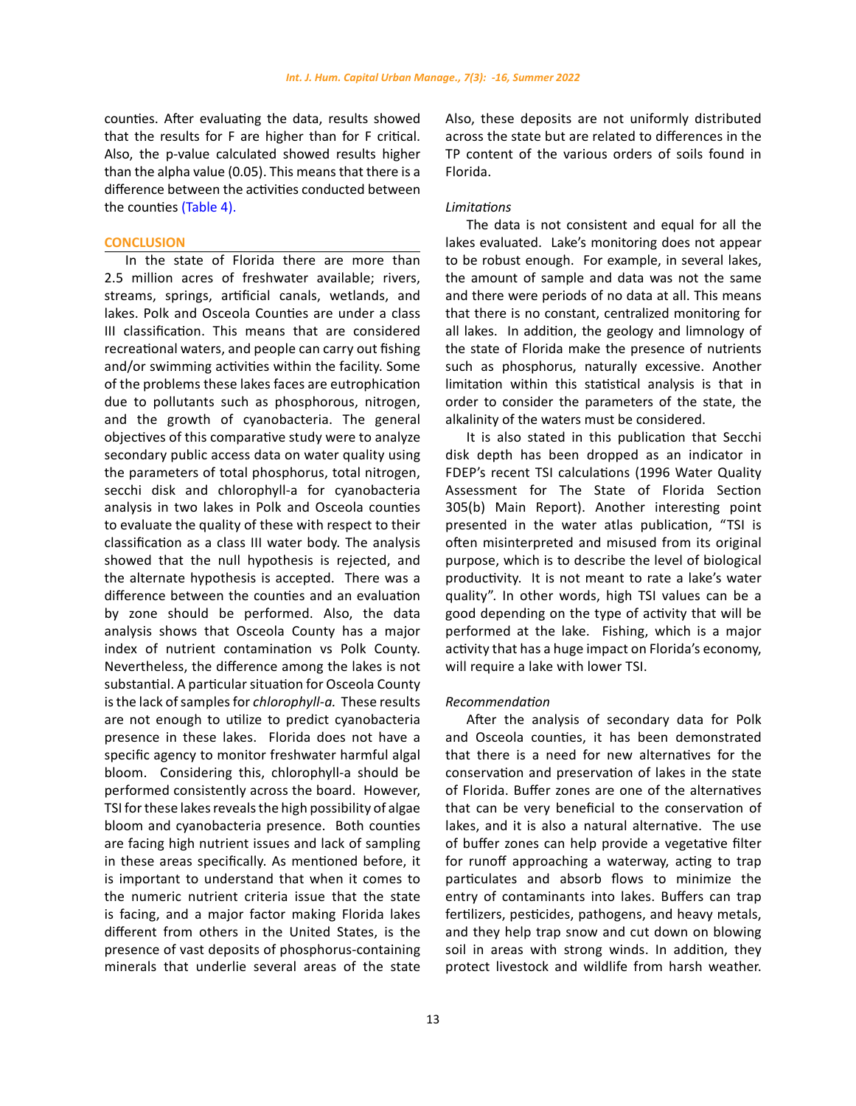counties. After evaluating the data, results showed that the results for F are higher than for F critical. Also, the p-value calculated showed results higher than the alpha value (0.05). This means that there is a difference between the activities conducted between the counties (Table 4).

### **CONCLUSION**

In the state of Florida there are more than 2.5 million acres of freshwater available; rivers, streams, springs, artificial canals, wetlands, and lakes. Polk and Osceola Counties are under a class III classification. This means that are considered recreational waters, and people can carry out fishing and/or swimming activities within the facility. Some of the problems these lakes faces are eutrophication due to pollutants such as phosphorous, nitrogen, and the growth of cyanobacteria. The general objectives of this comparative study were to analyze secondary public access data on water quality using the parameters of total phosphorus, total nitrogen, secchi disk and chlorophyll-a for cyanobacteria analysis in two lakes in Polk and Osceola counties to evaluate the quality of these with respect to their classification as a class III water body. The analysis showed that the null hypothesis is rejected, and the alternate hypothesis is accepted. There was a difference between the counties and an evaluation by zone should be performed. Also, the data analysis shows that Osceola County has a major index of nutrient contamination vs Polk County. Nevertheless, the difference among the lakes is not substantial. A particular situation for Osceola County is the lack of samples for *chlorophyll-a.* These results are not enough to utilize to predict cyanobacteria presence in these lakes. Florida does not have a specific agency to monitor freshwater harmful algal bloom. Considering this, chlorophyll-a should be performed consistently across the board. However, TSI for these lakes reveals the high possibility of algae bloom and cyanobacteria presence. Both counties are facing high nutrient issues and lack of sampling in these areas specifically. As mentioned before, it is important to understand that when it comes to the numeric nutrient criteria issue that the state is facing, and a major factor making Florida lakes different from others in the United States, is the presence of vast deposits of phosphorus-containing minerals that underlie several areas of the state

Also, these deposits are not uniformly distributed across the state but are related to differences in the TP content of the various orders of soils found in Florida.

# *Limitations*

The data is not consistent and equal for all the lakes evaluated. Lake's monitoring does not appear to be robust enough. For example, in several lakes, the amount of sample and data was not the same and there were periods of no data at all. This means that there is no constant, centralized monitoring for all lakes. In addition, the geology and limnology of the state of Florida make the presence of nutrients such as phosphorus, naturally excessive. Another limitation within this statistical analysis is that in order to consider the parameters of the state, the alkalinity of the waters must be considered.

It is also stated in this publication that Secchi disk depth has been dropped as an indicator in FDEP's recent TSI calculations (1996 Water Quality Assessment for The State of Florida Section 305(b) Main Report). Another interesting point presented in the water atlas publication, "TSI is often misinterpreted and misused from its original purpose, which is to describe the level of biological productivity. It is not meant to rate a lake's water quality". In other words, high TSI values can be a good depending on the type of activity that will be performed at the lake. Fishing, which is a major activity that has a huge impact on Florida's economy, will require a lake with lower TSI.

### *Recommendation*

After the analysis of secondary data for Polk and Osceola counties, it has been demonstrated that there is a need for new alternatives for the conservation and preservation of lakes in the state of Florida. Buffer zones are one of the alternatives that can be very beneficial to the conservation of lakes, and it is also a natural alternative. The use of buffer zones can help provide a vegetative filter for runoff approaching a waterway, acting to trap particulates and absorb flows to minimize the entry of contaminants into lakes. Buffers can trap fertilizers, pesticides, pathogens, and heavy metals, and they help trap snow and cut down on blowing soil in areas with strong winds. In addition, they protect livestock and wildlife from harsh weather.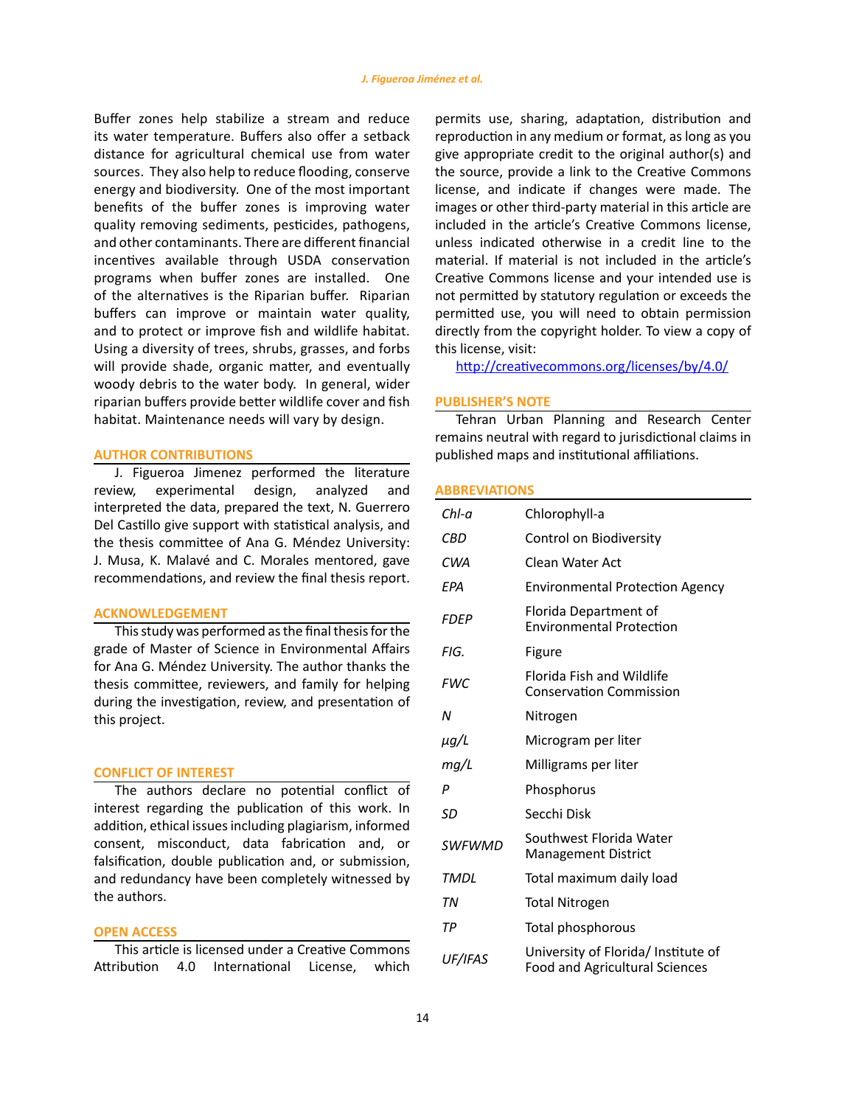Buffer zones help stabilize a stream and reduce its water temperature. Buffers also offer a setback distance for agricultural chemical use from water sources. They also help to reduce flooding, conserve energy and biodiversity. One of the most important benefits of the buffer zones is improving water quality removing sediments, pesticides, pathogens, and other contaminants. There are different financial incentives available through USDA conservation programs when buffer zones are installed. One of the alternatives is the Riparian buffer. Riparian buffers can improve or maintain water quality, and to protect or improve fish and wildlife habitat. Using a diversity of trees, shrubs, grasses, and forbs will provide shade, organic matter, and eventually woody debris to the water body. In general, wider riparian buffers provide better wildlife cover and fish habitat. Maintenance needs will vary by design.

# **AUTHOR CONTRIBUTIONS**

J. Figueroa Jimenez performed the literature review, experimental design, analyzed and interpreted the data, prepared the text, N. Guerrero Del Castillo give support with statistical analysis, and the thesis committee of Ana G. Méndez University: J. Musa, K. Malavé and C. Morales mentored, gave recommendations, and review the final thesis report.

### **ACKNOWLEDGEMENT**

This study was performed as the final thesis for the grade of Master of Science in Environmental Affairs for Ana G. Méndez University. The author thanks the thesis committee, reviewers, and family for helping during the investigation, review, and presentation of this project.

# **CONFLICT OF INTEREST**

The authors declare no potential conflict of interest regarding the publication of this work. In addition, ethical issues including plagiarism, informed consent, misconduct, data fabrication and, or falsification, double publication and, or submission, and redundancy have been completely witnessed by the authors.

### **OPEN ACCESS**

This article is licensed under a Creative Commons Attribution 4.0 International License, which

permits use, sharing, adaptation, distribution and reproduction in any medium or format, as long as you give appropriate credit to the original author(s) and the source, provide a link to the Creative Commons license, and indicate if changes were made. The images or other third-party material in this article are included in the article's Creative Commons license, unless indicated otherwise in a credit line to the material. If material is not included in the article's Creative Commons license and your intended use is not permitted by statutory regulation or exceeds the permitted use, you will need to obtain permission directly from the copyright holder. To view a copy of this license, visit:

<http://creativecommons.org/licenses/by/4.0/>

### **PUBLISHER'S NOTE**

Tehran Urban Planning and Research Center remains neutral with regard to jurisdictional claims in published maps and institutional affiliations.

### **ABBREVIATIONS**

| Chl-a         | Chlorophyll-a                                                                |
|---------------|------------------------------------------------------------------------------|
| CBD           | Control on Biodiversity                                                      |
| CWA           | Clean Water Act                                                              |
| EPA           | <b>Environmental Protection Agency</b>                                       |
| <b>FDEP</b>   | Florida Department of<br><b>Environmental Protection</b>                     |
| FIG.          | Figure                                                                       |
| <b>FWC</b>    | Florida Fish and Wildlife<br><b>Conservation Commission</b>                  |
| N             | Nitrogen                                                                     |
| μg/L          | Microgram per liter                                                          |
| mg/L          | Milligrams per liter                                                         |
| P             | Phosphorus                                                                   |
| SD            | Secchi Disk                                                                  |
| <b>SWFWMD</b> | Southwest Florida Water<br><b>Management District</b>                        |
| <b>TMDL</b>   | Total maximum daily load                                                     |
| ΤN            | <b>Total Nitrogen</b>                                                        |
| ТP            | Total phosphorous                                                            |
| UF/IFAS       | University of Florida/ Institute of<br><b>Food and Agricultural Sciences</b> |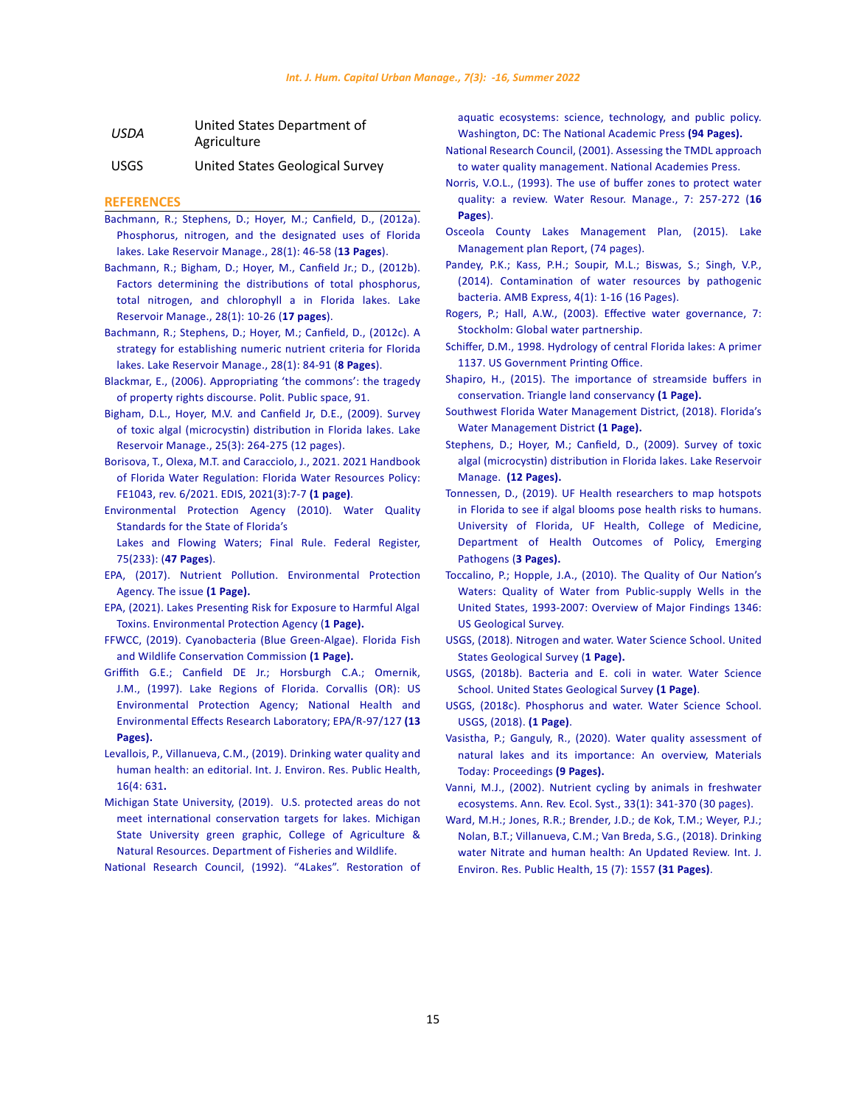| <b>USDA</b> | United States Department of |
|-------------|-----------------------------|
|             | Agriculture                 |
|             |                             |

USGS United States Geological Survey

### **REFERENCES**

- [Bachmann, R.; Stephens, D.; Hoyer, M.; Canfield, D., \(2012a\).](https://www.researchgate.net/publication/254316862_Phosphorus_nitrogen_and_the_designated_uses_of_Florida_lakes/)  [Phosphorus, nitrogen, and the designated uses of Florida](https://www.researchgate.net/publication/254316862_Phosphorus_nitrogen_and_the_designated_uses_of_Florida_lakes/)  [lakes. Lake Reservoir Manage., 28\(1\): 46-58 \(](https://www.researchgate.net/publication/254316862_Phosphorus_nitrogen_and_the_designated_uses_of_Florida_lakes/)**13 Pages**).
- [Bachmann, R.; Bigham, D.; Hoyer, M., Canfield Jr.; D., \(2012b\).](https://www.tandfonline.com/doi/full/10.1080/07438141.2011.646458)  [Factors determining the distributions of total phosphorus,](https://www.tandfonline.com/doi/full/10.1080/07438141.2011.646458)  [total nitrogen, and chlorophyll a in Florida lakes. Lake](https://www.tandfonline.com/doi/full/10.1080/07438141.2011.646458)  [Reservoir Manage., 28\(1\): 10-26 \(](https://www.tandfonline.com/doi/full/10.1080/07438141.2011.646458)**17 pages**).
- [Bachmann, R.; Stephens, D.; Hoyer, M.; Canfield, D., \(2012c\). A](https://www.researchgate.net/publication/241731636_A_strategy_for_establishing_numeric_nutrient_criteria_for_Florida_lakes)  [strategy for establishing numeric nutrient criteria for Florida](https://www.researchgate.net/publication/241731636_A_strategy_for_establishing_numeric_nutrient_criteria_for_Florida_lakes)  [lakes. Lake Reservoir Manage., 28\(1\): 84-91 \(](https://www.researchgate.net/publication/241731636_A_strategy_for_establishing_numeric_nutrient_criteria_for_Florida_lakes)**8 Pages**).
- [Blackmar, E., \(2006\). Appropriating 'the commons': the tragedy](https://books.google.com/books?hl=en&lr=&id=65Jht-DI7cYC&oi=fnd&pg=PA49&dq=+only+way+a+lake+can+be+considered+private+is+if+all+the+land+around+the+lake+is+privately+owned+and+there+is+no+access+to+the+water+from+any+public+area&ots=oAwtdQmrFC&sig=xXdcF1whrcXxez1fN56ZEUDBQwo)  [of property rights discourse. Polit. Public space, 91.](https://books.google.com/books?hl=en&lr=&id=65Jht-DI7cYC&oi=fnd&pg=PA49&dq=+only+way+a+lake+can+be+considered+private+is+if+all+the+land+around+the+lake+is+privately+owned+and+there+is+no+access+to+the+water+from+any+public+area&ots=oAwtdQmrFC&sig=xXdcF1whrcXxez1fN56ZEUDBQwo)
- [Bigham, D.L., Hoyer, M.V. and Canfield Jr, D.E., \(2009\). Survey](https://www.tandfonline.com/doi/abs/10.1080/07438140903136555)  [of toxic algal \(microcystin\) distribution in Florida lakes. Lake](https://www.tandfonline.com/doi/abs/10.1080/07438140903136555)  [Reservoir Manage., 25\(3\): 264-275 \(12 pages\).](https://www.tandfonline.com/doi/abs/10.1080/07438140903136555)
- [Borisova, T., Olexa, M.T. and Caracciolo, J., 2021. 2021 Handbook](https://journals.flvc.org/edis/article/download/128624/130767)  [of Florida Water Regulation: Florida Water Resources Policy:](https://journals.flvc.org/edis/article/download/128624/130767)  [FE1043, rev. 6/2021. EDIS, 2021\(3\):7-7](https://journals.flvc.org/edis/article/download/128624/130767) **(1 page)**.
- [Environmental Protection Agency \(2010\). Water Quality](https://www.govinfo.gov/content/pkg/FR-2010-12-06/pdf/2010-29943.pdf)  [Standards for the State of Florida's](https://www.govinfo.gov/content/pkg/FR-2010-12-06/pdf/2010-29943.pdf)

[Lakes and Flowing Waters; Final Rule. Federal Register,](https://www.govinfo.gov/content/pkg/FR-2010-12-06/pdf/2010-29943.pdf)  [75\(233\): \(](https://www.govinfo.gov/content/pkg/FR-2010-12-06/pdf/2010-29943.pdf)**47 Pages**).

- [EPA, \(2017\). Nutrient Pollution. Environmental Protection](https://www.epa.gov/nutrientpollution/issue.)  [Agency. The issue](https://www.epa.gov/nutrientpollution/issue.) **(1 Page)[.](https://www.epa.gov/nutrient-policy-data/lakes-presenting-risk-exposure-harmful-algal-toxins)**
- [EPA, \(2021\). Lakes Presenting Risk for Exposure to Harmful Algal](https://www.epa.gov/nutrient-policy-data/lakes-presenting-risk-exposure-harmful-algal-toxins) [Toxins. Environmental Protection Agency \(](https://www.epa.gov/nutrient-policy-data/lakes-presenting-risk-exposure-harmful-algal-toxins)**1 Page).**
- [FFWCC, \(2019\). Cyanobacteria \(Blue Green-Algae\). Florida Fish](https://myfwc.com/research/wildlife/health/other-wildlife/cyanobacteria/)  [and Wildlife Conservation Commission](https://myfwc.com/research/wildlife/health/other-wildlife/cyanobacteria/) **(1 Page).**
- [Griffith G.E.; Canfield DE Jr.; Horsburgh C.A.; Omernik,](https://www.researchgate.net/publication/254316862_Phosphorus_nitrogen_and_the_designated_uses_of_Florida_lakes)  [J.M., \(1997\). Lake Regions of Florida. Corvallis \(OR\): US](https://www.researchgate.net/publication/254316862_Phosphorus_nitrogen_and_the_designated_uses_of_Florida_lakes)  [Environmental Protection Agency; National Health and](https://www.researchgate.net/publication/254316862_Phosphorus_nitrogen_and_the_designated_uses_of_Florida_lakes)  [Environmental Effects Research Laboratory; EPA/R-97/127](https://www.researchgate.net/publication/254316862_Phosphorus_nitrogen_and_the_designated_uses_of_Florida_lakes) **(13 [Pages\).](https://www.researchgate.net/publication/254316862_Phosphorus_nitrogen_and_the_designated_uses_of_Florida_lakes)**
- [Levallois, P., Villanueva, C.M., \(2019\). Drinking water quality and](https://www.ncbi.nlm.nih.gov/pmc/articles/PMC6406761/)  [human health: an editorial. Int. J. Environ. Res. Public Health,](https://www.ncbi.nlm.nih.gov/pmc/articles/PMC6406761/)  [16\(4: 631](https://www.ncbi.nlm.nih.gov/pmc/articles/PMC6406761/)**.**
- [Michigan State University, \(2019\). U.S. protected areas do not](https://www.canr.msu.edu/news/u-s-protected-areas-do-not-meet-international-conservation-targets-for-lakes)  [meet international conservation targets for lakes. Michigan](https://www.canr.msu.edu/news/u-s-protected-areas-do-not-meet-international-conservation-targets-for-lakes)  [State University green graphic, College of Agriculture &](https://www.canr.msu.edu/news/u-s-protected-areas-do-not-meet-international-conservation-targets-for-lakes)  [Natural Resources. Department of Fisheries and Wildlife.](https://www.canr.msu.edu/news/u-s-protected-areas-do-not-meet-international-conservation-targets-for-lakes)

[National Research Council, \(1992\). "4Lakes". Restoration of](https://www.nap.edu/read/1807/chapter/6) 

[aquatic ecosystems: science, technology, and public policy.](https://www.nap.edu/read/1807/chapter/6) [Washington, DC: The National Academic Press](https://www.nap.edu/read/1807/chapter/6) **(94 Pages).**

- [National Research Council, \(2001\). Assessing the TMDL approach](https://books.google.com/books?hl=en&lr=&id=p952PDq0Te8C&oi=fnd&pg=PR1&dq=Under+section+303+(d)+of+the+CWA,+authorized+states,+territories,+and+tribes,+collectively+referred+to+in+the+law+as+%22states,%22+must+develop+lists+of+impaired+waters,+which+are+those+that+do+not+meet+established+quality+standards&ots=5IrElqcSTi&sig=0wu2DfPXoOMcPvpOHXJK7-tjjLY) [to water quality management. National Academies Press.](https://books.google.com/books?hl=en&lr=&id=p952PDq0Te8C&oi=fnd&pg=PR1&dq=Under+section+303+(d)+of+the+CWA,+authorized+states,+territories,+and+tribes,+collectively+referred+to+in+the+law+as+%22states,%22+must+develop+lists+of+impaired+waters,+which+are+those+that+do+not+meet+established+quality+standards&ots=5IrElqcSTi&sig=0wu2DfPXoOMcPvpOHXJK7-tjjLY)
- [Norris, V.O.L., \(1993\). The use of buffer zones to protect water](https://www.researchgate.net/publication/227113920_The_Use_of_Buffer_Zones_to_Protect_Water_Quality_-_a_Review/stats) [quality: a review. Water Resour. Manage., 7: 257-272 \(](https://www.researchgate.net/publication/227113920_The_Use_of_Buffer_Zones_to_Protect_Water_Quality_-_a_Review/stats)**16 [Pages](https://www.researchgate.net/publication/227113920_The_Use_of_Buffer_Zones_to_Protect_Water_Quality_-_a_Review/stats)**).
- Osceola County Lakes Management Plan, (2015). Lake Management plan Report, (74 pages).
- [Pandey, P.K.; Kass, P.H.; Soupir, M.L.; Biswas, S.; Singh, V.P.,](https://link.springer.com/article/10.1186/s13568-014-0051-x) [\(2014\). Contamination of water resources by pathogenic](https://link.springer.com/article/10.1186/s13568-014-0051-x) [bacteria. AMB Express, 4\(1\): 1-16 \(16 Pages\).](https://link.springer.com/article/10.1186/s13568-014-0051-x)
- [Rogers, P.; Hall, A.W., \(2003\). Effective water governance, 7:](http://dlc.dlib.indiana.edu/dlc/handle/10535/4995) [Stockholm: Global water partnership.](http://dlc.dlib.indiana.edu/dlc/handle/10535/4995)
- [Schiffer, D.M., 1998. Hydrology of central Florida lakes: A primer](https://books.google.com/books?hl=en&lr=&id=WCDU5z81p78C&oi=fnd&pg=PA1&dq=Schiffer,+D.M.,+(1998).+Hydrology+of+central+Florida+Lakes+-+First+USGS+Publications+Warehouse.+Science.gov.+Your+Gateway+to+US+Federal+Services+(1+Page).&ots=ih9lGz0m1j&sig=f7kPLLW39hhGEGCpbcgA7GGfw1c) [1137. US Government Printing Office.](https://books.google.com/books?hl=en&lr=&id=WCDU5z81p78C&oi=fnd&pg=PA1&dq=Schiffer,+D.M.,+(1998).+Hydrology+of+central+Florida+Lakes+-+First+USGS+Publications+Warehouse.+Science.gov.+Your+Gateway+to+US+Federal+Services+(1+Page).&ots=ih9lGz0m1j&sig=f7kPLLW39hhGEGCpbcgA7GGfw1c)
- [Shapiro, H., \(2015\). The importance of streamside buffers in](https://www.triangleland.org/water/the-importance-of-streamside-buffers-in-conservation) [conservation. Triangle land conservancy](https://www.triangleland.org/water/the-importance-of-streamside-buffers-in-conservation) **(1 Page).**
- [Southwest Florida Water Management District, \(2018\). Florida's](https://www.swfwmd.state.fl.us/about/about-the-district/floridas-water-management-districts) [Water Management District](https://www.swfwmd.state.fl.us/about/about-the-district/floridas-water-management-districts) **(1 Page).**
- [Stephens, D.; Hoyer, M.; Canfield, D., \(2009\). Survey of toxic](https://www.researchgate.net/publication/228671952_Survey_of_toxic_algal_microcystin_distribution_in_Florida_lakes) [algal \(microcystin\) distribution in Florida lakes. Lake Reservoir](https://www.researchgate.net/publication/228671952_Survey_of_toxic_algal_microcystin_distribution_in_Florida_lakes) Manage. **[\(12 Pages\).](https://www.researchgate.net/publication/228671952_Survey_of_toxic_algal_microcystin_distribution_in_Florida_lakes)**
- [Tonnessen, D., \(2019\). UF Health researchers to map hotspots](https://ufhealth.org/news/2019/uf-health-researchers-map-hotspots-florida-see-if-algal-blooms-pose-health-risks-humans) [in Florida to see if algal blooms pose health risks to humans.](https://ufhealth.org/news/2019/uf-health-researchers-map-hotspots-florida-see-if-algal-blooms-pose-health-risks-humans) [University of Florida, UF Health, College of Medicine,](https://ufhealth.org/news/2019/uf-health-researchers-map-hotspots-florida-see-if-algal-blooms-pose-health-risks-humans) [Department of Health Outcomes of Policy, Emerging](https://ufhealth.org/news/2019/uf-health-researchers-map-hotspots-florida-see-if-algal-blooms-pose-health-risks-humans) [Pathogens \(](https://ufhealth.org/news/2019/uf-health-researchers-map-hotspots-florida-see-if-algal-blooms-pose-health-risks-humans)**3 Pages).**
- [Toccalino, P.; Hopple, J.A., \(2010\). The Quality of Our Nation's](https://pubs.usgs.gov/circ/1346/) [Waters: Quality of Water from Public-supply Wells in the](https://pubs.usgs.gov/circ/1346/) [United States, 1993-2007: Overview of Major Findings 1346:](https://pubs.usgs.gov/circ/1346/) [US Geological Survey.](https://pubs.usgs.gov/circ/1346/)
- [USGS, \(2018\). Nitrogen and water. Water Science School. United](https://www.usgs.gov/special-topics/water-science-school/science/nitrogen-and-water?qt-science_center_objects_= 0 # qt-science_center_objects) [States Geological Survey \(](https://www.usgs.gov/special-topics/water-science-school/science/nitrogen-and-water?qt-science_center_objects_= 0 # qt-science_center_objects)**1 Page).**
- [USGS, \(2018b\). Bacteria and E. coli in water. Water Science](https://www.usgs.gov/special-topic/water-science-school/science/bacteria-and-e-coli-water?qt-science_center_objects=0#qt-science_center_objects) [School. United States Geological Survey](https://www.usgs.gov/special-topic/water-science-school/science/bacteria-and-e-coli-water?qt-science_center_objects=0#qt-science_center_objects) **(1 Page)**.
- [USGS, \(2018c\). Phosphorus and water. Water Science School.](https://www.usgs.gov/special-topic/water-science-school/science/phosphorus-and-water?qt-science_center_objects=0#qt-science_center_objects) [USGS, \(2018\).](https://www.usgs.gov/special-topic/water-science-school/science/phosphorus-and-water?qt-science_center_objects=0#qt-science_center_objects) **(1 Page)**.
- [Vasistha, P.; Ganguly, R., \(2020\). Water quality assessment of](https://www.sciencedirect.com/science/article/pii/S2214785320308373) [natural lakes and its importance: An overview, Materials](https://www.sciencedirect.com/science/article/pii/S2214785320308373) [Today: Proceedings](https://www.sciencedirect.com/science/article/pii/S2214785320308373) **(9 Pages).**
- [Vanni, M.J., \(2002\). Nutrient cycling by animals in freshwater](https://www.annualreviews.org/doi/abs/10.1146/annurev.ecolsys.33.010802.150519) [ecosystems. Ann. Rev. Ecol. Syst., 33\(1\): 341-370 \(30 pages\).](https://www.annualreviews.org/doi/abs/10.1146/annurev.ecolsys.33.010802.150519)
- [Ward, M.H.; Jones, R.R.; Brender, J.D.; de Kok, T.M.; Weyer, P.J.;](https://doi.org/10.3390/ijerph15071557) [Nolan, B.T.; Villanueva, C.M.; Van Breda, S.G., \(2018\). Drinking](https://doi.org/10.3390/ijerph15071557) [water Nitrate and human health: An Updated Review. Int. J.](https://doi.org/10.3390/ijerph15071557) [Environ. Res. Public Health, 15 \(7\): 1557](https://doi.org/10.3390/ijerph15071557) **(31 Pages)**.